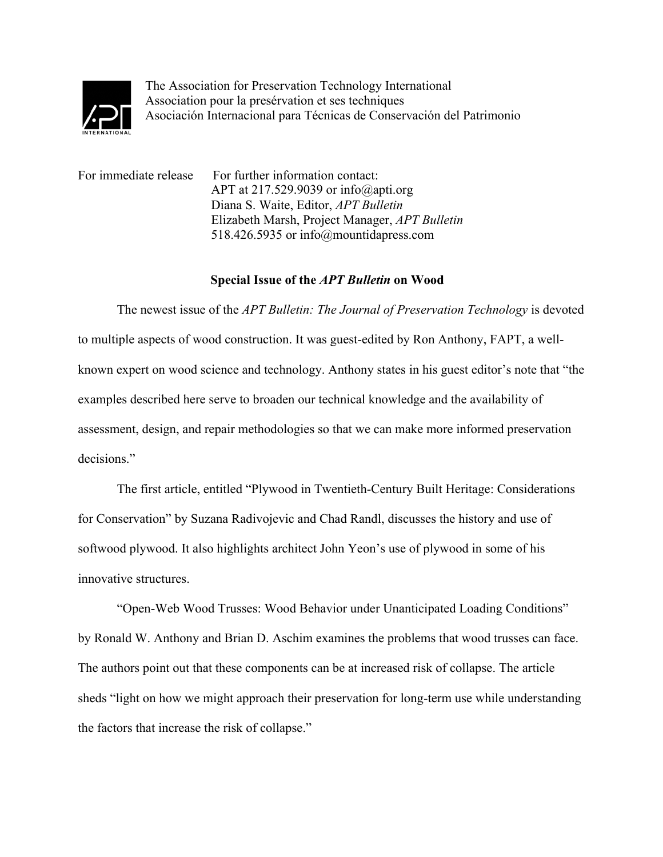

The Association for Preservation Technology International Association pour la presérvation et ses techniques Asociación Internacional para Técnicas de Conservación del Patrimonio

For immediate release For further information contact: APT at 217.529.9039 or info@apti.org Diana S. Waite, Editor, *APT Bulletin* Elizabeth Marsh, Project Manager, *APT Bulletin* 518.426.5935 or info@mountidapress.com

## **Special Issue of the** *APT Bulletin* **on Wood**

The newest issue of the *APT Bulletin: The Journal of Preservation Technology* is devoted to multiple aspects of wood construction. It was guest-edited by Ron Anthony, FAPT, a wellknown expert on wood science and technology. Anthony states in his guest editor's note that "the examples described here serve to broaden our technical knowledge and the availability of assessment, design, and repair methodologies so that we can make more informed preservation decisions."

The first article, entitled "Plywood in Twentieth-Century Built Heritage: Considerations for Conservation" by Suzana Radivojevic and Chad Randl, discusses the history and use of softwood plywood. It also highlights architect John Yeon's use of plywood in some of his innovative structures.

"Open-Web Wood Trusses: Wood Behavior under Unanticipated Loading Conditions" by Ronald W. Anthony and Brian D. Aschim examines the problems that wood trusses can face. The authors point out that these components can be at increased risk of collapse. The article sheds "light on how we might approach their preservation for long-term use while understanding the factors that increase the risk of collapse."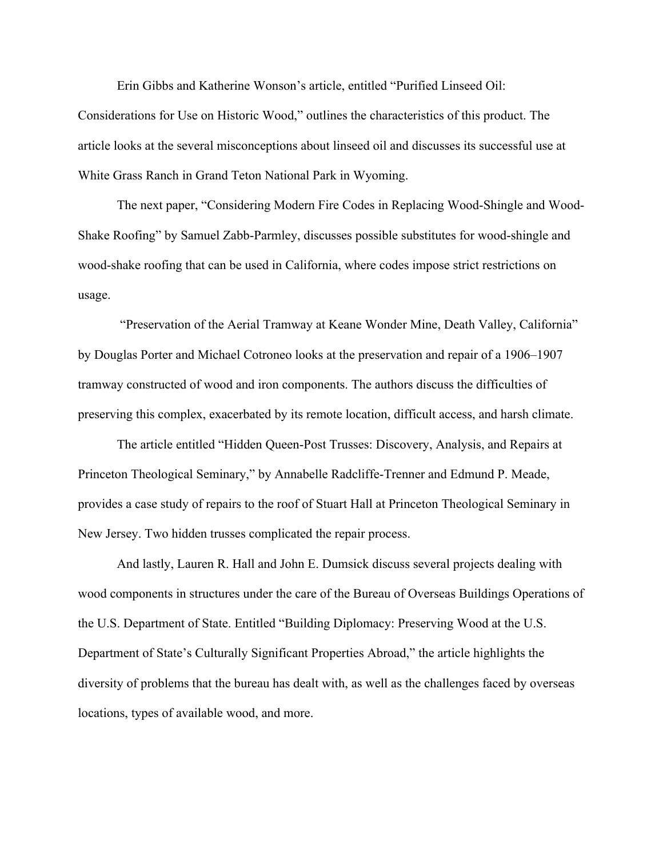Erin Gibbs and Katherine Wonson's article, entitled "Purified Linseed Oil:

Considerations for Use on Historic Wood," outlines the characteristics of this product. The article looks at the several misconceptions about linseed oil and discusses its successful use at White Grass Ranch in Grand Teton National Park in Wyoming.

The next paper, "Considering Modern Fire Codes in Replacing Wood-Shingle and Wood-Shake Roofing" by Samuel Zabb-Parmley, discusses possible substitutes for wood-shingle and wood-shake roofing that can be used in California, where codes impose strict restrictions on usage.

"Preservation of the Aerial Tramway at Keane Wonder Mine, Death Valley, California" by Douglas Porter and Michael Cotroneo looks at the preservation and repair of a 1906–1907 tramway constructed of wood and iron components. The authors discuss the difficulties of preserving this complex, exacerbated by its remote location, difficult access, and harsh climate.

The article entitled "Hidden Queen-Post Trusses: Discovery, Analysis, and Repairs at Princeton Theological Seminary," by Annabelle Radcliffe-Trenner and Edmund P. Meade, provides a case study of repairs to the roof of Stuart Hall at Princeton Theological Seminary in New Jersey. Two hidden trusses complicated the repair process.

And lastly, Lauren R. Hall and John E. Dumsick discuss several projects dealing with wood components in structures under the care of the Bureau of Overseas Buildings Operations of the U.S. Department of State. Entitled "Building Diplomacy: Preserving Wood at the U.S. Department of State's Culturally Significant Properties Abroad," the article highlights the diversity of problems that the bureau has dealt with, as well as the challenges faced by overseas locations, types of available wood, and more.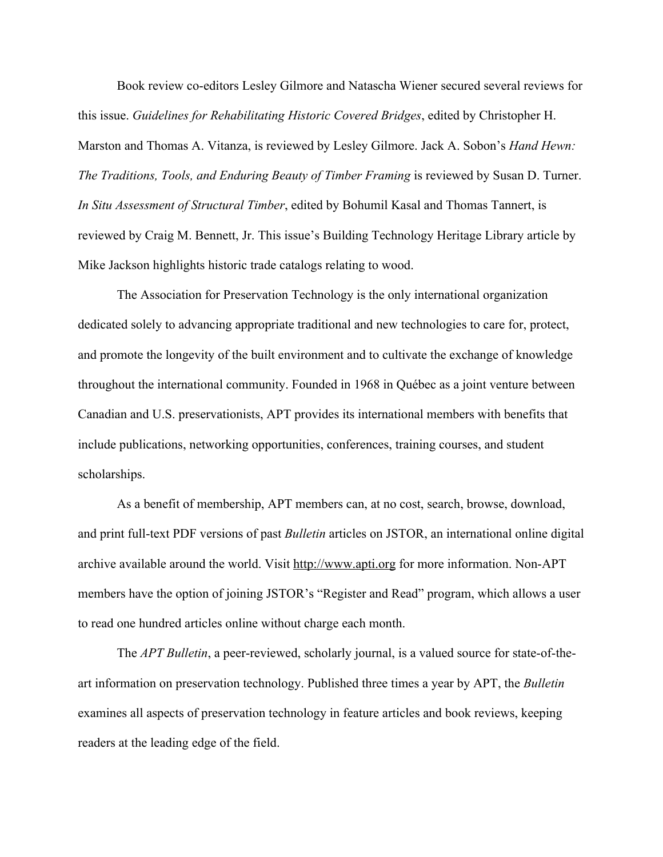Book review co-editors Lesley Gilmore and Natascha Wiener secured several reviews for this issue. *Guidelines for Rehabilitating Historic Covered Bridges*, edited by Christopher H. Marston and Thomas A. Vitanza, is reviewed by Lesley Gilmore. Jack A. Sobon's *Hand Hewn: The Traditions, Tools, and Enduring Beauty of Timber Framing* is reviewed by Susan D. Turner. *In Situ Assessment of Structural Timber*, edited by Bohumil Kasal and Thomas Tannert, is reviewed by Craig M. Bennett, Jr. This issue's Building Technology Heritage Library article by Mike Jackson highlights historic trade catalogs relating to wood.

The Association for Preservation Technology is the only international organization dedicated solely to advancing appropriate traditional and new technologies to care for, protect, and promote the longevity of the built environment and to cultivate the exchange of knowledge throughout the international community. Founded in 1968 in Québec as a joint venture between Canadian and U.S. preservationists, APT provides its international members with benefits that include publications, networking opportunities, conferences, training courses, and student scholarships.

As a benefit of membership, APT members can, at no cost, search, browse, download, and print full-text PDF versions of past *Bulletin* articles on JSTOR, an international online digital archive available around the world. Visit http://www.apti.org for more information. Non-APT members have the option of joining JSTOR's "Register and Read" program, which allows a user to read one hundred articles online without charge each month.

The *APT Bulletin*, a peer-reviewed, scholarly journal, is a valued source for state-of-theart information on preservation technology. Published three times a year by APT, the *Bulletin* examines all aspects of preservation technology in feature articles and book reviews, keeping readers at the leading edge of the field.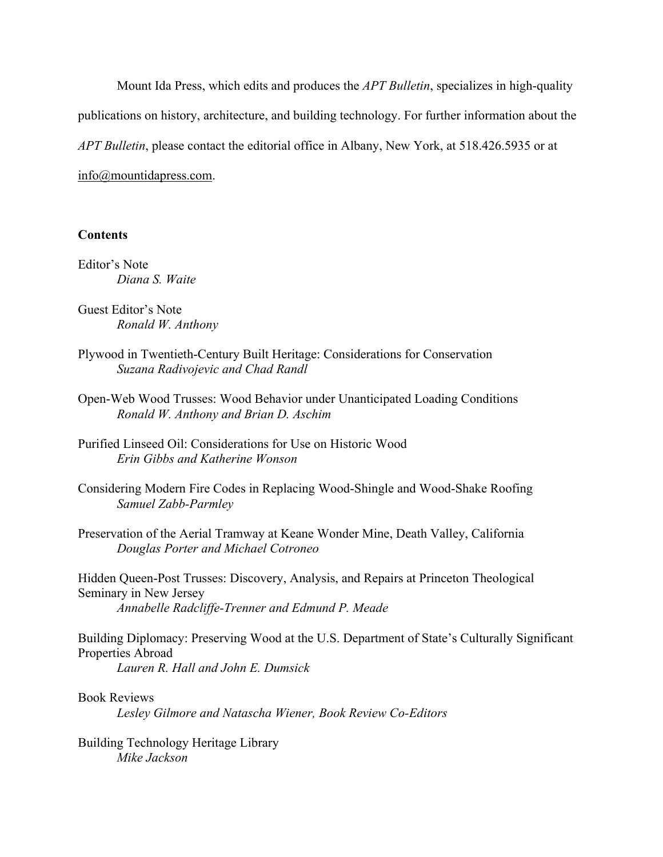Mount Ida Press, which edits and produces the *APT Bulletin*, specializes in high-quality publications on history, architecture, and building technology. For further information about the *APT Bulletin*, please contact the editorial office in Albany, New York, at 518.426.5935 or at info@mountidapress.com.

## **Contents**

Editor's Note *Diana S. Waite*

Guest Editor's Note *Ronald W. Anthony*

- Plywood in Twentieth-Century Built Heritage: Considerations for Conservation *Suzana Radivojevic and Chad Randl*
- Open-Web Wood Trusses: Wood Behavior under Unanticipated Loading Conditions *Ronald W. Anthony and Brian D. Aschim*

Purified Linseed Oil: Considerations for Use on Historic Wood *Erin Gibbs and Katherine Wonson*

- Considering Modern Fire Codes in Replacing Wood-Shingle and Wood-Shake Roofing *Samuel Zabb-Parmley*
- Preservation of the Aerial Tramway at Keane Wonder Mine, Death Valley, California *Douglas Porter and Michael Cotroneo*

Hidden Queen-Post Trusses: Discovery, Analysis, and Repairs at Princeton Theological Seminary in New Jersey *Annabelle Radcliffe-Trenner and Edmund P. Meade*

Building Diplomacy: Preserving Wood at the U.S. Department of State's Culturally Significant Properties Abroad

*Lauren R. Hall and John E. Dumsick*

## Book Reviews

*Lesley Gilmore and Natascha Wiener, Book Review Co-Editors*

Building Technology Heritage Library *Mike Jackson*